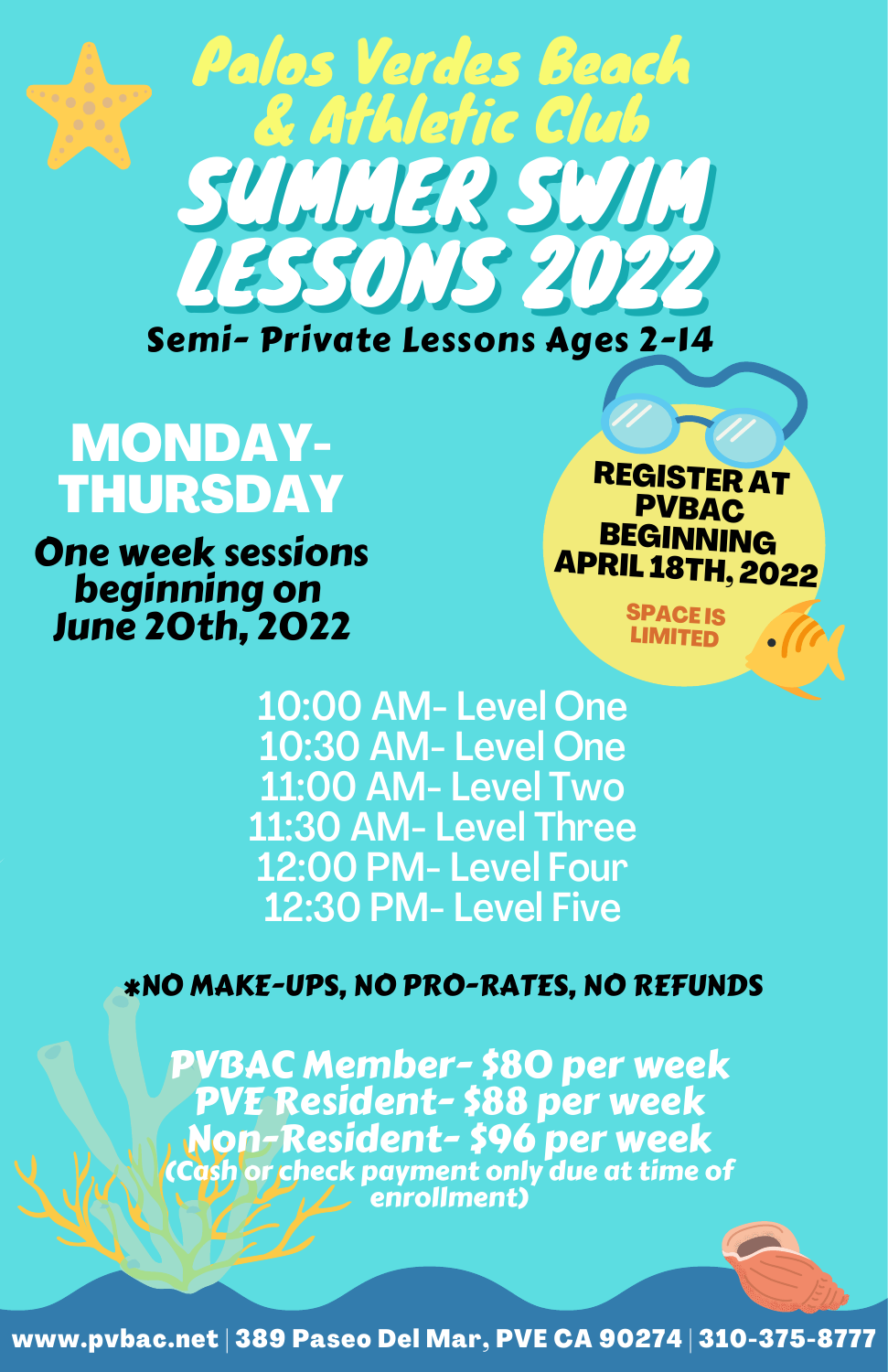

# MONDAY-THURSDAY

One week sessions beginning on June 20th, 2022

REGISTER AT PVBAC BEGINNING APRIL 18TH, 2022

> SPACE IS LIMITED

10:00 AM- Level One 10:30 AM- Level One 11:00 AM- Level Two 11:30 AM- Level Three 12:00 PM- Level Four 12:30 PM- Level Five

\*NO MAKE-UPS, NO PRO-RATES, NO REFUNDS

PVBAC Member- \$80 per week PVE Resident- \$88 per week Non-Resident- \$96 per week (Cash or check payment only due at time of enrollment)

www.pvbac.net | 389 Paseo Del Mar, PVE CA 90274 | 310-375-8777